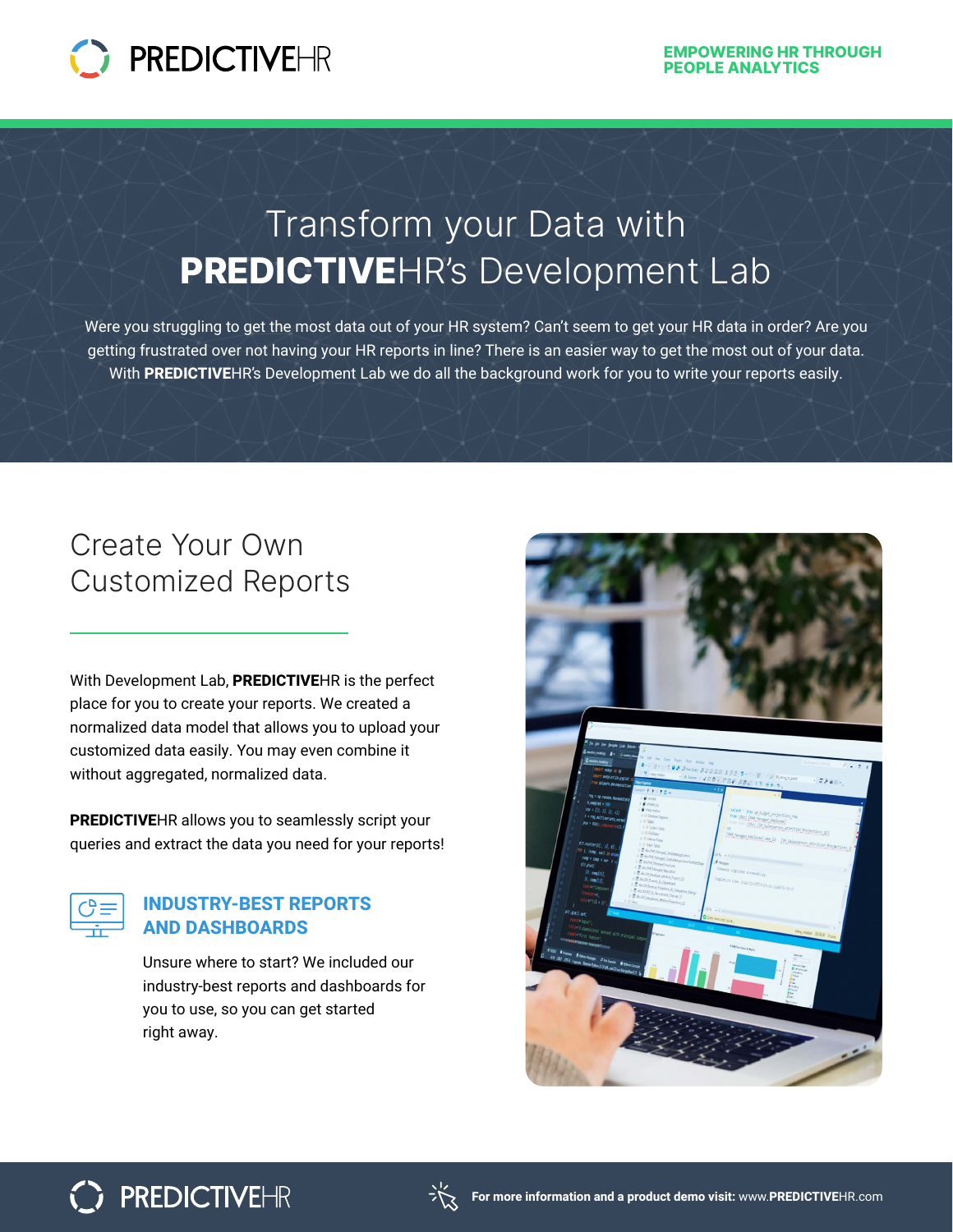

# Transform your Data with PREDICTIVEHR's Development Lab

Were you struggling to get the most data out of your HR system? Can't seem to get your HR data in order? Are you getting frustrated over not having your HR reports in line? There is an easier way to get the most out of your data. With **PREDICTIVE**HR's Development Lab we do all the background work for you to write your reports easily.

## Create Your Own Customized Reports

With Development Lab, **PREDICTIVE**HR is the perfect place for you to create your reports. We created a normalized data model that allows you to upload your customized data easily. You may even combine it without aggregated, normalized data.

**PREDICTIVE**HR allows you to seamlessly script your queries and extract the data you need for your reports!



#### **INDUSTRY-BEST REPORTS AND DASHBOARDS**

Unsure where to start? We included our industry-best reports and dashboards for you to use, so you can get started right away.



## **PREDICTIVEHR**